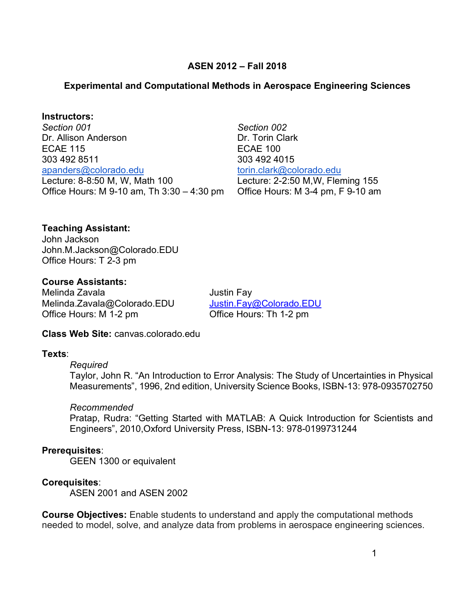## **ASEN 2012 – Fall 2018**

## **Experimental and Computational Methods in Aerospace Engineering Sciences**

#### **Instructors:**

 *Section 001*  Dr. Allison Anderson Office Hours: M 9-10 am, Th 3:30 – 4:30 pm ECAE 115 303 492 8511 [apanders@colorado.edu](mailto:apanders@colorado.edu)  Lecture: 8-8:50 M, W, Math 100

303 492 4015 *Section 002*  Dr. Torin Clark ECAE 100 torin.clark@colorado.edu Lecture: 2-2:50 M,W, Fleming 155 Office Hours: M 3-4 pm, F 9-10 am

## **Teaching Assistant:**

 John Jackson [John.M.Jackson@Colorado.EDU](mailto:John.M.Jackson@Colorado.EDU) Office Hours: T 2-3 pm

# **Course Assistants:**

Melinda Zavala **Melinda** Zavala [Melinda.Zavala@Colorado.EDU](mailto:Melinda.Zavala@Colorado.EDU) [Justin.Fay@Colorado.EDU](mailto:Justin.Fay@Colorado.EDU) Office Hours: M 1-2 pm

Office Hours: Th 1-2 pm

## **Class Web Site:** [canvas.colorado.edu](https://canvas.colorado.edu)

#### **Texts**:

#### *Required*

 Taylor, John R. "An Introduction to Error Analysis: The Study of Uncertainties in Physical Measurements", 1996, 2nd edition, University Science Books, ISBN-13: 978-0935702750

#### *Recommended*

 Pratap, Rudra: "Getting Started with MATLAB: A Quick Introduction for Scientists and Engineers", 2010,Oxford University Press, ISBN-13: 978-0199731244

#### **Prerequisites**:

GEEN 1300 or equivalent

#### **Corequisites**:

ASEN 2001 and ASEN 2002

 **Course Objectives:** Enable students to understand and apply the computational methods needed to model, solve, and analyze data from problems in aerospace engineering sciences.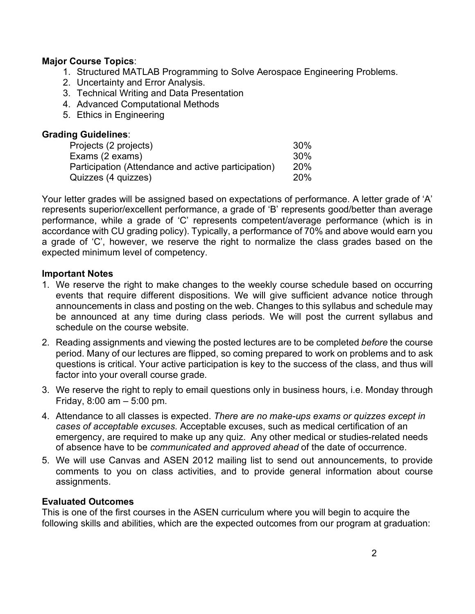## **Major Course Topics**:

- 1. Structured MATLAB Programming to Solve Aerospace Engineering Problems.
- 2. Uncertainty and Error Analysis.
- 3. Technical Writing and Data Presentation
- 4. Advanced Computational Methods
- 5. Ethics in Engineering

| <b>Grading Guidelines:</b>                          |                 |
|-----------------------------------------------------|-----------------|
| Projects (2 projects)                               | 30 <sup>%</sup> |
| Exams (2 exams)                                     | 30%             |
| Participation (Attendance and active participation) | <b>20%</b>      |
| Quizzes (4 quizzes)                                 | 20%             |

 Your letter grades will be assigned based on expectations of performance. A letter grade of 'A' represents superior/excellent performance, a grade of 'B' represents good/better than average performance, while a grade of 'C' represents competent/average performance (which is in accordance with CU grading policy). Typically, a performance of 70% and above would earn you a grade of 'C', however, we reserve the right to normalize the class grades based on the expected minimum level of competency.

#### **Important Notes**

- 1. We reserve the right to make changes to the weekly course schedule based on occurring events that require different dispositions. We will give sufficient advance notice through announcements in class and posting on the web. Changes to this syllabus and schedule may be announced at any time during class periods. We will post the current syllabus and schedule on the course website.
- 2. Reading assignments and viewing the posted lectures are to be completed *before* the course period. Many of our lectures are flipped, so coming prepared to work on problems and to ask questions is critical. Your active participation is key to the success of the class, and thus will factor into your overall course grade.
- 3. We reserve the right to reply to email questions only in business hours, i.e. Monday through Friday, 8:00 am – 5:00 pm.
- 4. Attendance to all classes is expected. *There are no make-ups exams or quizzes except in cases of acceptable excuses.* Acceptable excuses, such as medical certification of an emergency, are required to make up any quiz. Any other medical or studies-related needs of absence have to be *communicated and approved ahead* of the date of occurrence.
- 5. We will use Canvas and ASEN 2012 mailing list to send out announcements, to provide comments to you on class activities, and to provide general information about course assignments.

#### **Evaluated Outcomes**

 This is one of the first courses in the ASEN curriculum where you will begin to acquire the following skills and abilities, which are the expected outcomes from our program at graduation: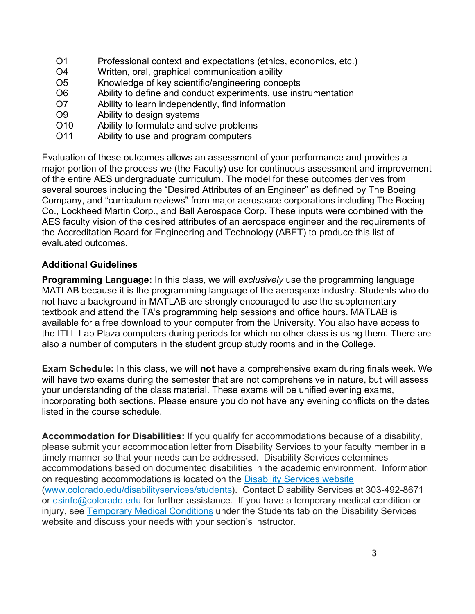- $O<sub>1</sub>$ Professional context and expectations (ethics, economics, etc.)
- $\Omega$ Written, oral, graphical communication ability
- $O<sub>5</sub>$ Knowledge of key scientific/engineering concepts
- O<sub>6</sub> Ability to define and conduct experiments, use instrumentation
- O<sub>7</sub> Ability to learn independently, find information
- O<sub>9</sub> Ability to design systems
- O10 Ability to formulate and solve problems
- O11 Ability to use and program computers

 Evaluation of these outcomes allows an assessment of your performance and provides a major portion of the process we (the Faculty) use for continuous assessment and improvement of the entire AES undergraduate curriculum. The model for these outcomes derives from several sources including the "Desired Attributes of an Engineer" as defined by The Boeing Company, and "curriculum reviews" from major aerospace corporations including The Boeing Co., Lockheed Martin Corp., and Ball Aerospace Corp. These inputs were combined with the AES faculty vision of the desired attributes of an aerospace engineer and the requirements of the Accreditation Board for Engineering and Technology (ABET) to produce this list of evaluated outcomes.

## **Additional Guidelines**

 **Programming Language:** In this class, we will *exclusively* use the programming language MATLAB because it is the programming language of the aerospace industry. Students who do not have a background in MATLAB are strongly encouraged to use the supplementary textbook and attend the TA's programming help sessions and office hours. MATLAB is available for a free download to your computer from the University. You also have access to the ITLL Lab Plaza computers during periods for which no other class is using them. There are also a number of computers in the student group study rooms and in the College.

 **Exam Schedule:** In this class, we will **not** have a comprehensive exam during finals week. We will have two exams during the semester that are not comprehensive in nature, but will assess your understanding of the class material. These exams will be unified evening exams, incorporating both sections. Please ensure you do not have any evening conflicts on the dates listed in the course schedule.

 **Accommodation for Disabilities:** If you qualify for accommodations because of a disability, please submit your accommodation letter from Disability Services to your faculty member in a timely manner so that your needs can be addressed. Disability Services determines accommodations based on documented disabilities in the academic environment. Information on requesting accommodations is located on the **Disability Services website**  ([www.colorado.edu/disabilityservices/students\)](www.colorado.edu/disabilityservices/students). Contact Disability Services at 303-492-8671 or [dsinfo@colorado.edu](mailto:dsinfo@colorado.edu) for further assistance. If you have a temporary medical condition or injury, see **Temporary Medical Conditions** under the Students tab on the Disability Services website and discuss your needs with your section's instructor.